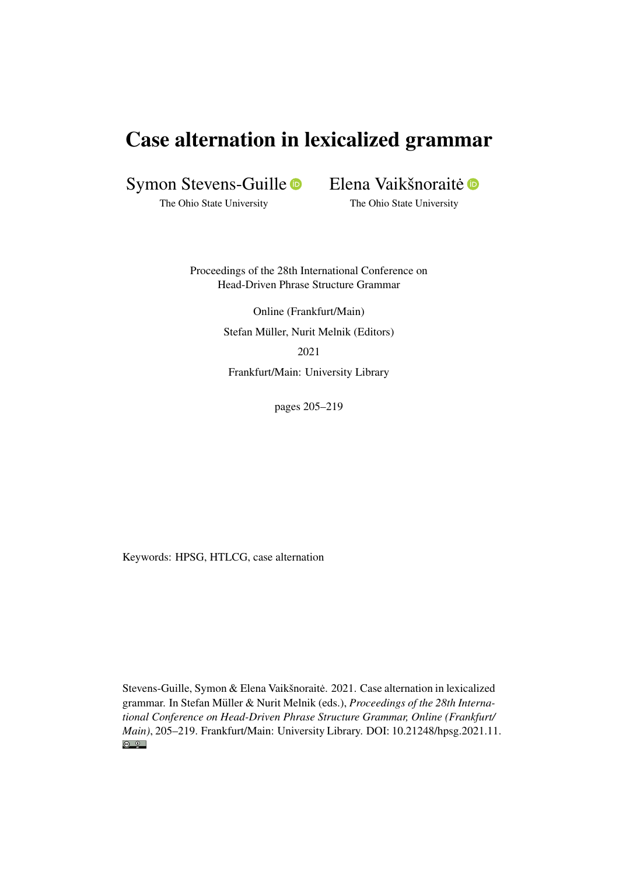# Case alternation in lexicalized grammar

Symon Stevens-Guille

Elena Vaikšnoraitė<sup>®</sup>

The Ohio State University

The Ohio State University

Proceedings of the 28th International Conference on Head-Driven Phrase Structure Grammar

> Online (Frankfurt/Main) Stefan Müller, Nurit Melnik (Editors) 2021 Frankfurt/Main: University Library

> > pages 205–219

Keywords: HPSG, HTLCG, case alternation

Stevens-Guille, Symon & Elena Vaikšnoraitė. 2021. Case alternation in lexicalized grammar. In Stefan Müller & Nurit Melnik (eds.), *Proceedings of the 28th International Conference on Head-Driven Phrase Structure Grammar, Online (Frankfurt/ Main)*, 205–219. Frankfurt/Main: University Library. DOI: [10.21248/hpsg.2021.11.](http://doi.org/10.21248/hpsg.2021.11) $\odot$   $\odot$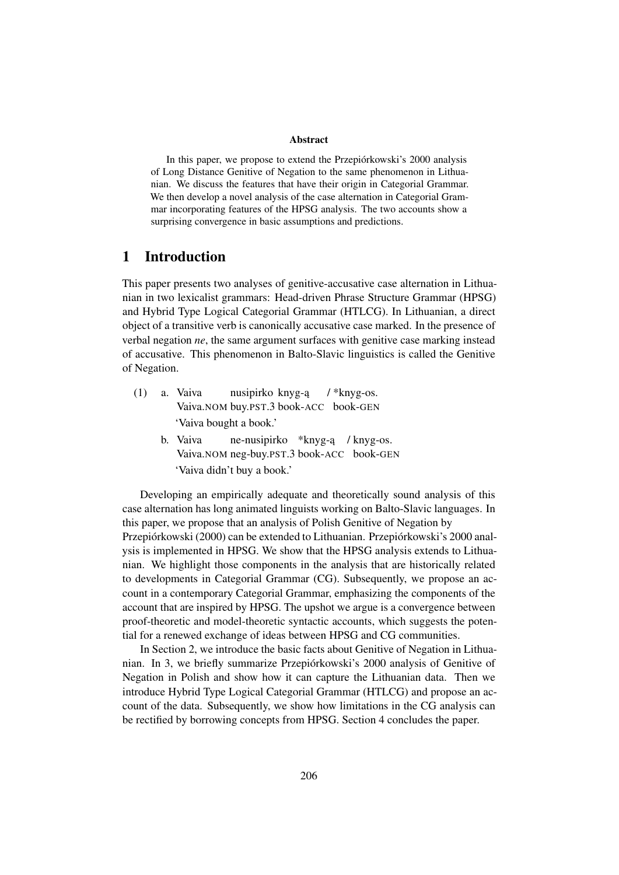#### Abstract

In this paper, we propose to extend the Przepiórkowski's 2000 analysis of Long Distance Genitive of Negation to the same phenomenon in Lithuanian. We discuss the features that have their origin in Categorial Grammar. We then develop a novel analysis of the case alternation in Categorial Grammar incorporating features of the HPSG analysis. The two accounts show a surprising convergence in basic assumptions and predictions.

# 1 Introduction

This paper presents two analyses of genitive-accusative case alternation in Lithuanian in two lexicalist grammars: Head-driven Phrase Structure Grammar (HPSG) and Hybrid Type Logical Categorial Grammar (HTLCG). In Lithuanian, a direct object of a transitive verb is canonically accusative case marked. In the presence of verbal negation *ne*, the same argument surfaces with genitive case marking instead of accusative. This phenomenon in Balto-Slavic linguistics is called the Genitive of Negation.

- (1) a. Vaiva Vaiva.NOM buy.PST.3 book-ACC book-GEN nusipirko knyg-ą / \*knyg-os. 'Vaiva bought a book.'
	- b. Vaiva Vaiva.NOM neg-buy.PST.3 book-ACC book-GEN ne-nusipirko \*knyg-ą / knyg-os. 'Vaiva didn't buy a book.'

Developing an empirically adequate and theoretically sound analysis of this case alternation has long animated linguists working on Balto-Slavic languages. In this paper, we propose that an analysis of Polish Genitive of Negation by Przepiórkowski (2000) can be extended to Lithuanian. Przepiórkowski's 2000 analysis is implemented in HPSG. We show that the HPSG analysis extends to Lithuanian. We highlight those components in the analysis that are historically related to developments in Categorial Grammar (CG). Subsequently, we propose an account in a contemporary Categorial Grammar, emphasizing the components of the account that are inspired by HPSG. The upshot we argue is a convergence between proof-theoretic and model-theoretic syntactic accounts, which suggests the potential for a renewed exchange of ideas between HPSG and CG communities.

In Section 2, we introduce the basic facts about Genitive of Negation in Lithuanian. In 3, we briefly summarize Przepiórkowski's 2000 analysis of Genitive of Negation in Polish and show how it can capture the Lithuanian data. Then we introduce Hybrid Type Logical Categorial Grammar (HTLCG) and propose an account of the data. Subsequently, we show how limitations in the CG analysis can be rectified by borrowing concepts from HPSG. Section 4 concludes the paper.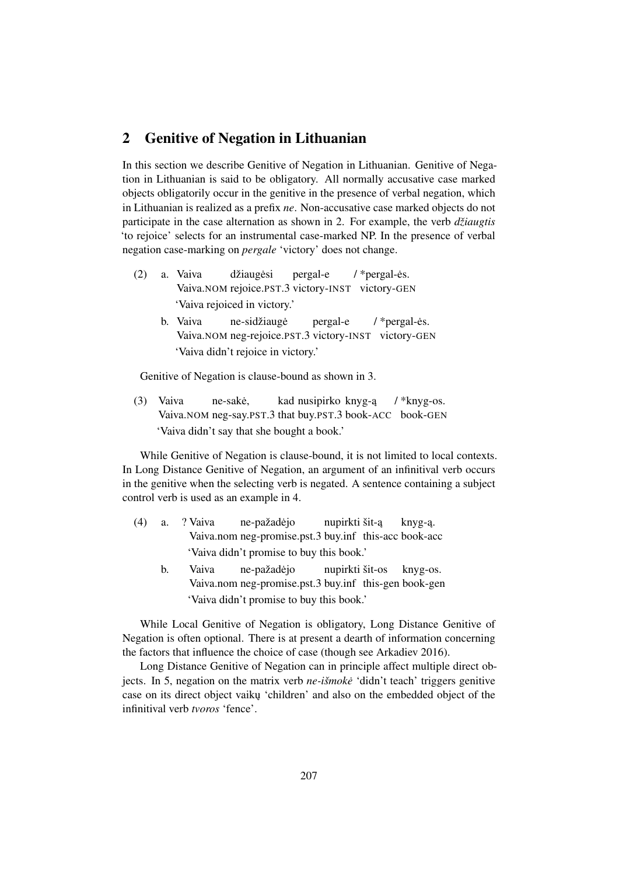# 2 Genitive of Negation in Lithuanian

In this section we describe Genitive of Negation in Lithuanian. Genitive of Negation in Lithuanian is said to be obligatory. All normally accusative case marked objects obligatorily occur in the genitive in the presence of verbal negation, which in Lithuanian is realized as a prefix *ne*. Non-accusative case marked objects do not participate in the case alternation as shown in 2. For example, the verb *džiaugtis* 'to rejoice' selects for an instrumental case-marked NP. In the presence of verbal negation case-marking on *pergale* 'victory' does not change.

- (2) a. Vaiva Vaiva.NOM rejoice.PST.3 victory-INST victory-GEN džiaugėsi pergal-e  $\prime$  \*pergal-es. 'Vaiva rejoiced in victory.'
	- b. Vaiva Vaiva.NOM neg-rejoice.PST.3 victory-INST victory-GEN ne-sidžiauge˙ pergal-e  $/$ \*pergal-ės. 'Vaiva didn't rejoice in victory.'

Genitive of Negation is clause-bound as shown in 3.

(3) Vaiva Vaiva.NOM neg-say.PST.3 that buy.PST.3 book-ACC book-GEN ne-sakė. kad nusipirko knyg-ą / \*knyg-os. 'Vaiva didn't say that she bought a book.'

While Genitive of Negation is clause-bound, it is not limited to local contexts. In Long Distance Genitive of Negation, an argument of an infinitival verb occurs in the genitive when the selecting verb is negated. A sentence containing a subject control verb is used as an example in 4.

- (4) a. ? Vaiva Vaiva.nom neg-promise.pst.3 buy.inf this-acc book-acc ne-pažadejo ˙ nupirkti šit-ą knyg-ą. 'Vaiva didn't promise to buy this book.'
	- b. Vaiva Vaiva.nom neg-promise.pst.3 buy.inf this-gen book-gen ne-pažadėjo nupirkti šit-os knyg-os. 'Vaiva didn't promise to buy this book.'

While Local Genitive of Negation is obligatory, Long Distance Genitive of Negation is often optional. There is at present a dearth of information concerning the factors that influence the choice of case (though see Arkadiev 2016).

Long Distance Genitive of Negation can in principle affect multiple direct objects. In 5, negation on the matrix verb *ne-išmoke˙* 'didn't teach' triggers genitive case on its direct object vaiku 'children' and also on the embedded object of the infinitival verb *tvoros* 'fence'.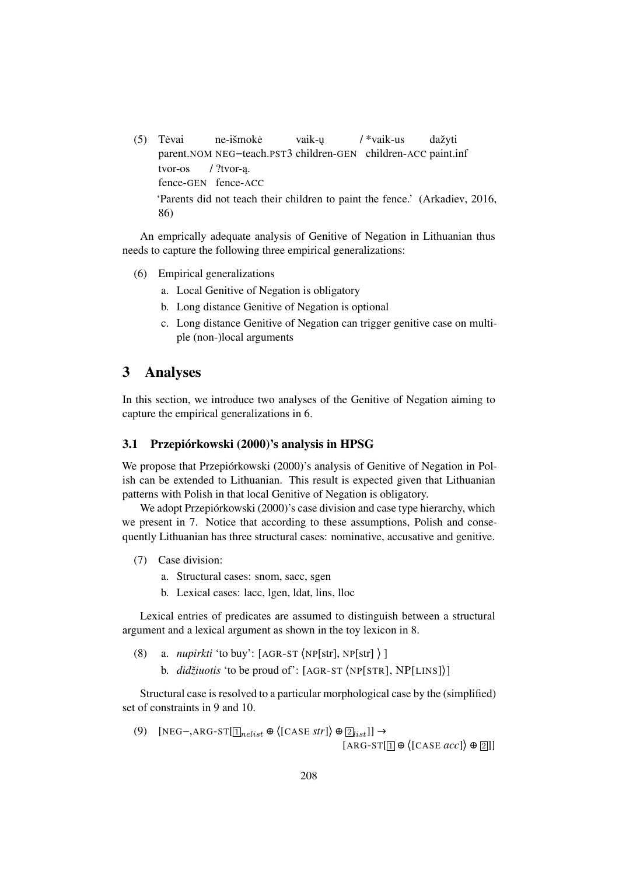(5) Tevai ˙ parent.NOM NEG-teach.PST3 children-GEN children-ACC paint.inf ne-išmoke˙ vaik-u˛ / \*vaik-us dažyti tvor-os fence-GEN fence-ACC  $/$  ?tvor-a. 'Parents did not teach their children to paint the fence.' (Arkadiev, 2016, 86)

An emprically adequate analysis of Genitive of Negation in Lithuanian thus needs to capture the following three empirical generalizations:

- (6) Empirical generalizations
	- a. Local Genitive of Negation is obligatory
	- b. Long distance Genitive of Negation is optional
	- c. Long distance Genitive of Negation can trigger genitive case on multiple (non-)local arguments

# 3 Analyses

In this section, we introduce two analyses of the Genitive of Negation aiming to capture the empirical generalizations in 6.

#### 3.1 Przepiórkowski (2000)'s analysis in HPSG

We propose that Przepiórkowski (2000)'s analysis of Genitive of Negation in Polish can be extended to Lithuanian. This result is expected given that Lithuanian patterns with Polish in that local Genitive of Negation is obligatory.

We adopt Przepiórkowski (2000)'s case division and case type hierarchy, which we present in 7. Notice that according to these assumptions, Polish and consequently Lithuanian has three structural cases: nominative, accusative and genitive.

- (7) Case division:
	- a. Structural cases: snom, sacc, sgen
	- b. Lexical cases: lacc, lgen, ldat, lins, lloc

Lexical entries of predicates are assumed to distinguish between a structural argument and a lexical argument as shown in the toy lexicon in 8.

(8) a. *nupirkti* 'to buy':  $[AGR-ST \ NP[str], NP[str] \ )]$ b. *didžiuotis* 'to be proud of': [AGR-ST ⟨NP[STR], NP[LINS]⟩]

Structural case is resolved to a particular morphological case by the (simplified) set of constraints in 9 and 10.

(9)  $[NEG-,ARG-ST[[]_{nelist} \oplus \langle [CASE str] \rangle \oplus [2]_{ist}]] \rightarrow$  $[ARG-ST][\overline{1}] \oplus \langle [CASE \, acc] \rangle \oplus [\overline{2}]]$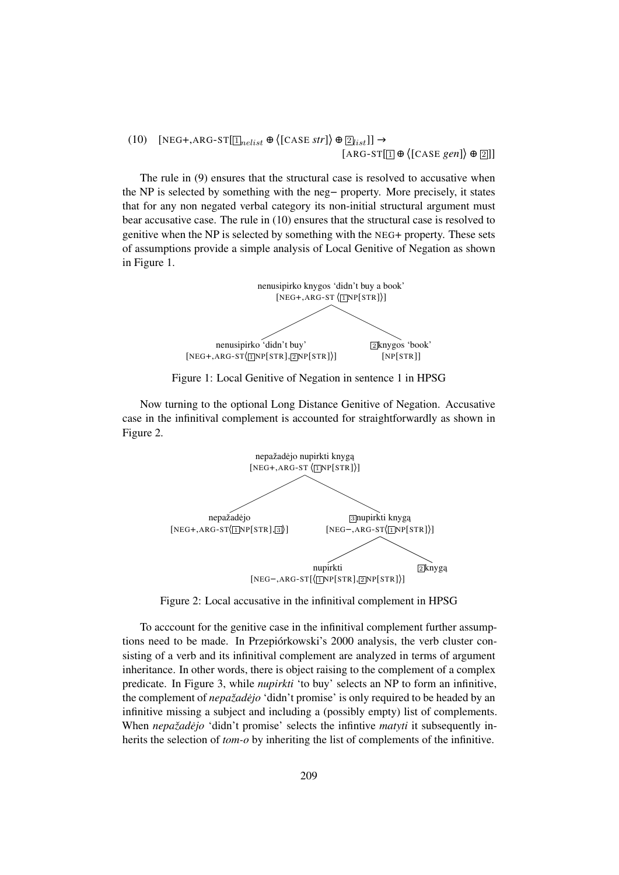$(10)$  [NEG+,ARG-ST[ $\Box_{nelist}$  ⊕  $\langle$ [CASE *str*] $\rangle \oplus \Box_{list}$ ]] →  $[ARG-ST][1] \oplus \langle [CASE \text{gen}] \rangle \oplus [2]]$ 

The rule in (9) ensures that the structural case is resolved to accusative when the NP is selected by something with the neg− property. More precisely, it states that for any non negated verbal category its non-initial structural argument must bear accusative case. The rule in (10) ensures that the structural case is resolved to genitive when the NP is selected by something with the NEG+ property. These sets of assumptions provide a simple analysis of Local Genitive of Negation as shown in Figure 1.



Figure 1: Local Genitive of Negation in sentence 1 in HPSG

Now turning to the optional Long Distance Genitive of Negation. Accusative case in the infinitival complement is accounted for straightforwardly as shown in Figure 2.



Figure 2: Local accusative in the infinitival complement in HPSG

To acccount for the genitive case in the infinitival complement further assumptions need to be made. In Przepiórkowski's 2000 analysis, the verb cluster consisting of a verb and its infinitival complement are analyzed in terms of argument inheritance. In other words, there is object raising to the complement of a complex predicate. In Figure 3, while *nupirkti* 'to buy' selects an NP to form an infinitive, the complement of *nepažadejo* 'didn't promise' is only required to be headed by an infinitive missing a subject and including a (possibly empty) list of complements. When *nepažadėjo* 'didn't promise' selects the infinitive *matyti* it subsequently inherits the selection of *tom-o* by inheriting the list of complements of the infinitive.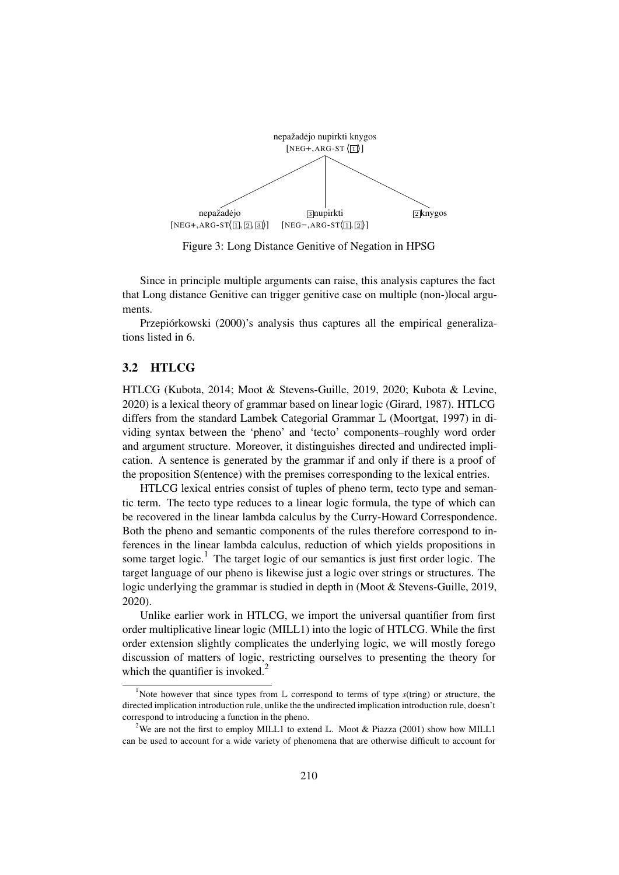

Figure 3: Long Distance Genitive of Negation in HPSG

Since in principle multiple arguments can raise, this analysis captures the fact that Long distance Genitive can trigger genitive case on multiple (non-)local arguments.

Przepiórkowski (2000)'s analysis thus captures all the empirical generalizations listed in 6.

### 3.2 HTLCG

HTLCG (Kubota, 2014; Moot & Stevens-Guille, 2019, 2020; Kubota & Levine, 2020) is a lexical theory of grammar based on linear logic (Girard, 1987). HTLCG differs from the standard Lambek Categorial Grammar L (Moortgat, 1997) in dividing syntax between the 'pheno' and 'tecto' components–roughly word order and argument structure. Moreover, it distinguishes directed and undirected implication. A sentence is generated by the grammar if and only if there is a proof of the proposition S(entence) with the premises corresponding to the lexical entries.

HTLCG lexical entries consist of tuples of pheno term, tecto type and semantic term. The tecto type reduces to a linear logic formula, the type of which can be recovered in the linear lambda calculus by the Curry-Howard Correspondence. Both the pheno and semantic components of the rules therefore correspond to inferences in the linear lambda calculus, reduction of which yields propositions in some target logic.<sup>1</sup> The target logic of our semantics is just first order logic. The target language of our pheno is likewise just a logic over strings or structures. The logic underlying the grammar is studied in depth in (Moot & Stevens-Guille, 2019, 2020).

Unlike earlier work in HTLCG, we import the universal quantifier from first order multiplicative linear logic (MILL1) into the logic of HTLCG. While the first order extension slightly complicates the underlying logic, we will mostly forego discussion of matters of logic, restricting ourselves to presenting the theory for which the quantifier is invoked.<sup>2</sup>

<sup>1</sup>Note however that since types from L correspond to terms of type *s*(tring) or *s*tructure, the directed implication introduction rule, unlike the the undirected implication introduction rule, doesn't correspond to introducing a function in the pheno.

<sup>&</sup>lt;sup>2</sup>We are not the first to employ MILL1 to extend L. Moot & Piazza (2001) show how MILL1 can be used to account for a wide variety of phenomena that are otherwise difficult to account for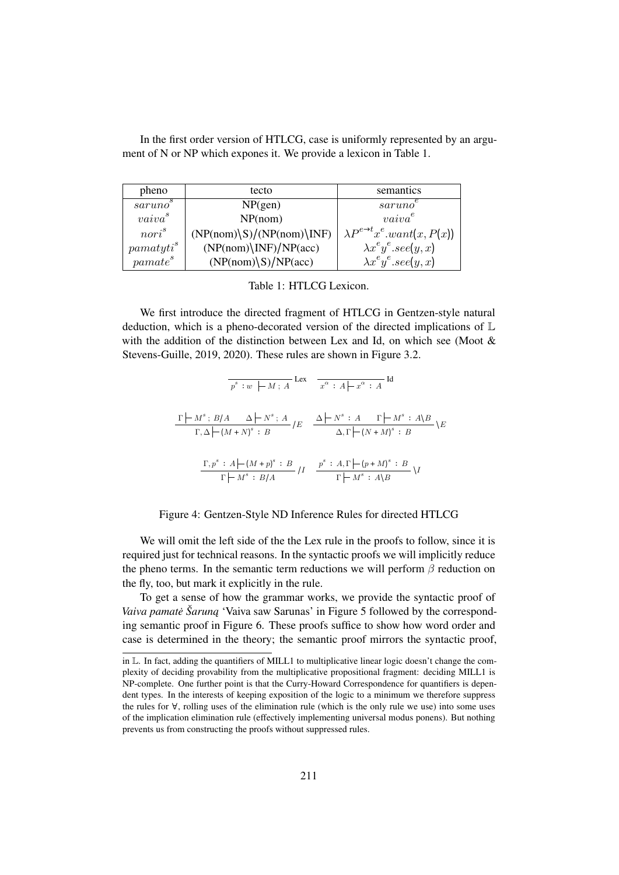In the first order version of HTLCG, case is uniformly represented by an argument of N or NP which expones it. We provide a lexicon in Table 1.

| pheno               | tecto                       | semantics                                      |
|---------------------|-----------------------------|------------------------------------------------|
| saruno <sup>s</sup> | NP(gen)                     | saruno                                         |
| $via^s$             | NP(nom)                     | $via^e$                                        |
| nori <sup>s</sup>   | $(NP(nom)\S)/(NP(nom)\INF)$ | $\lambda P^{e\rightarrow t}x^e. want(x, P(x))$ |
| $pamatyti^s$        | $(NP(nom)\INF)/NP(acc)$     | $\lambda x^e y^e \cdot \textit{see}(y, x)$     |
| pamate <sup>s</sup> | $(NP(nom)\S)/NP(acc)$       | $\lambda x^e y^e \cdot \textit{see}(y, x)$     |

Table 1: HTLCG Lexicon.

We first introduce the directed fragment of HTLCG in Gentzen-style natural deduction, which is a pheno-decorated version of the directed implications of  $\mathbb L$ with the addition of the distinction between Lex and Id, on which see (Moot & Stevens-Guille, 2019, 2020). These rules are shown in Figure 3.2.

$$
\frac{1}{p^{s}: w \mid M; A} \text{Lex } \frac{}{x^{\alpha}: A \mid x^{\alpha}: A} \text{Id}
$$
\n
$$
\frac{\Gamma \mid M^{s}: B/A \quad \Delta \mid N^{s}: A}{\Gamma, \Delta \mid (M+N)^{s}: B} / E \quad \frac{\Delta \mid N^{s}: A \quad \Gamma \mid M^{s}: A \backslash B}{\Delta, \Gamma \mid (N+M)^{s}: B} / E
$$
\n
$$
\frac{\Gamma, p^{s}: A \mid (M+p)^{s}: B}{\Gamma \mid M^{s}: B/A} / I \quad \frac{p^{s}: A, \Gamma \mid (p+M)^{s}: B}{\Gamma \mid M^{s}: A \backslash B} / I
$$

Figure 4: Gentzen-Style ND Inference Rules for directed HTLCG

We will omit the left side of the the Lex rule in the proofs to follow, since it is required just for technical reasons. In the syntactic proofs we will implicitly reduce the pheno terms. In the semantic term reductions we will perform  $\beta$  reduction on the fly, too, but mark it explicitly in the rule.

To get a sense of how the grammar works, we provide the syntactic proof of *Vaiva pamate Šarung* 'Vaiva saw Sarunas' in Figure 5 followed by the corresponding semantic proof in Figure 6. These proofs suffice to show how word order and case is determined in the theory; the semantic proof mirrors the syntactic proof,

in L. In fact, adding the quantifiers of MILL1 to multiplicative linear logic doesn't change the complexity of deciding provability from the multiplicative propositional fragment: deciding MILL1 is NP-complete. One further point is that the Curry-Howard Correspondence for quantifiers is dependent types. In the interests of keeping exposition of the logic to a minimum we therefore suppress the rules for ∀, rolling uses of the elimination rule (which is the only rule we use) into some uses of the implication elimination rule (effectively implementing universal modus ponens). But nothing prevents us from constructing the proofs without suppressed rules.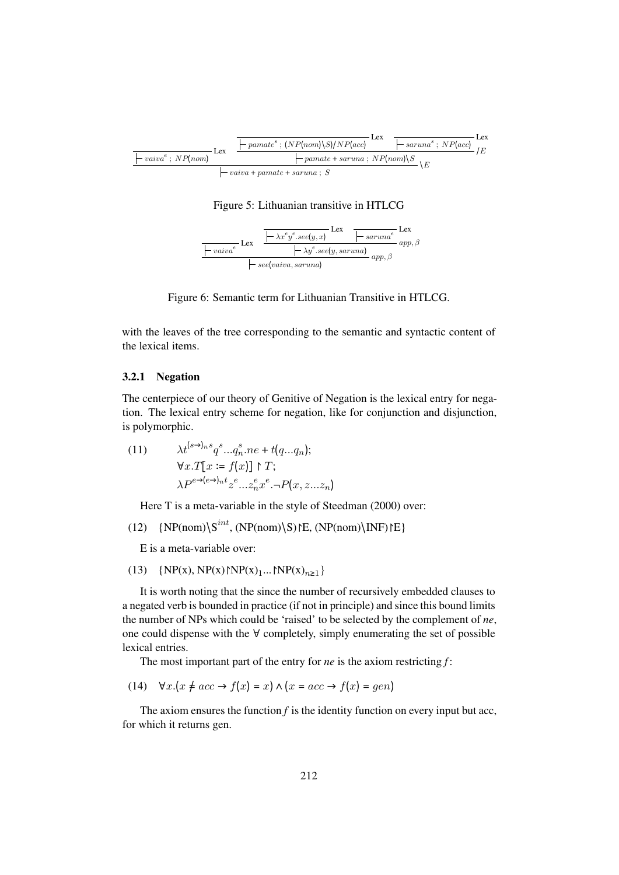

Figure 5: Lithuanian transitive in HTLCG

$$
\frac{\frac{\overline{z}}{\log x} \log x}{\frac{\log x}{\log x} \log x} \cdot \frac{\frac{\overline{z}}{\log x} \log x}{\log x} \cdot \frac{\overline{z}}{\log x} \cdot \frac{\overline{z}}{\log x}}{\log x} \cdot \frac{\log x}{\log x} \cdot \frac{\log x}{\log x} \cdot \frac{\log x}{\log x} \cdot \frac{\log x}{\log x} \cdot \frac{\log x}{\log x} \cdot \frac{\log x}{\log x} \cdot \frac{\log x}{\log x} \cdot \frac{\log x}{\log x} \cdot \frac{\log x}{\log x} \cdot \frac{\log x}{\log x} \cdot \frac{\log x}{\log x} \cdot \frac{\log x}{\log x} \cdot \frac{\log x}{\log x} \cdot \frac{\log x}{\log x} \cdot \frac{\log x}{\log x} \cdot \frac{\log x}{\log x} \cdot \frac{\log x}{\log x} \cdot \frac{\log x}{\log x} \cdot \frac{\log x}{\log x} \cdot \frac{\log x}{\log x} \cdot \frac{\log x}{\log x} \cdot \frac{\log x}{\log x} \cdot \frac{\log x}{\log x} \cdot \frac{\log x}{\log x} \cdot \frac{\log x}{\log x} \cdot \frac{\log x}{\log x} \cdot \frac{\log x}{\log x} \cdot \frac{\log x}{\log x} \cdot \frac{\log x}{\log x} \cdot \frac{\log x}{\log x} \cdot \frac{\log x}{\log x} \cdot \frac{\log x}{\log x} \cdot \frac{\log x}{\log x} \cdot \frac{\log x}{\log x} \cdot \frac{\log x}{\log x} \cdot \frac{\log x}{\log x} \cdot \frac{\log x}{\log x} \cdot \frac{\log x}{\log x} \cdot \frac{\log x}{\log x} \cdot \frac{\log x}{\log x} \cdot \frac{\log x}{\log x} \cdot \frac{\log x}{\log x} \cdot \frac{\log x}{\log x} \cdot \frac{\log x}{\log x} \cdot \frac{\log x}{\log x} \cdot \frac{\log x}{\log x} \cdot \frac{\log x}{\log x} \cdot \frac{\log x}{\log x} \cdot \frac{\log x}{\log x} \cdot \frac{\log x}{\log x} \cdot \frac{\log x}{\log x} \cdot \frac{\log x}{\log x} \cdot \frac{\log x}{\log x} \cdot \frac{\log x}{\log x} \cdot \frac{\log x}{\log x} \cdot \frac{\log x}{\log x}
$$

Figure 6: Semantic term for Lithuanian Transitive in HTLCG.

with the leaves of the tree corresponding to the semantic and syntactic content of the lexical items.

### 3.2.1 Negation

The centerpiece of our theory of Genitive of Negation is the lexical entry for negation. The lexical entry scheme for negation, like for conjunction and disjunction, is polymorphic.

(11) 
$$
\lambda t^{(s\rightarrow)_{n}s} q^{s} \dots q_{n}^{s}.ne + t(q \dots q_{n});
$$

$$
\forall x. T[x := f(x)] \upharpoonright T;
$$

$$
\lambda P^{e\rightarrow(e\rightarrow)_{n}t} z^{e} \dots z_{n}^{e} x^{e}. \neg P(x, z \dots z_{n})
$$

Here T is a meta-variable in the style of Steedman (2000) over:

(12) {NP(nom)\S<sup>*int*</sup>, (NP(nom)\S)↑E, (NP(nom)\INF)↑E}

E is a meta-variable over:

(13) {NP(x), NP(x)↑NP(x)<sub>1</sub>...↑NP(x)<sub>n≥1</sub>}

It is worth noting that the since the number of recursively embedded clauses to a negated verb is bounded in practice (if not in principle) and since this bound limits the number of NPs which could be 'raised' to be selected by the complement of *ne*, one could dispense with the ∀ completely, simply enumerating the set of possible lexical entries.

The most important part of the entry for *ne* is the axiom restricting *f* :

(14)  $\forall x.(x \neq acc \rightarrow f(x) = x) \land (x = acc \rightarrow f(x) = gen)$ 

The axiom ensures the function *f* is the identity function on every input but acc, for which it returns gen.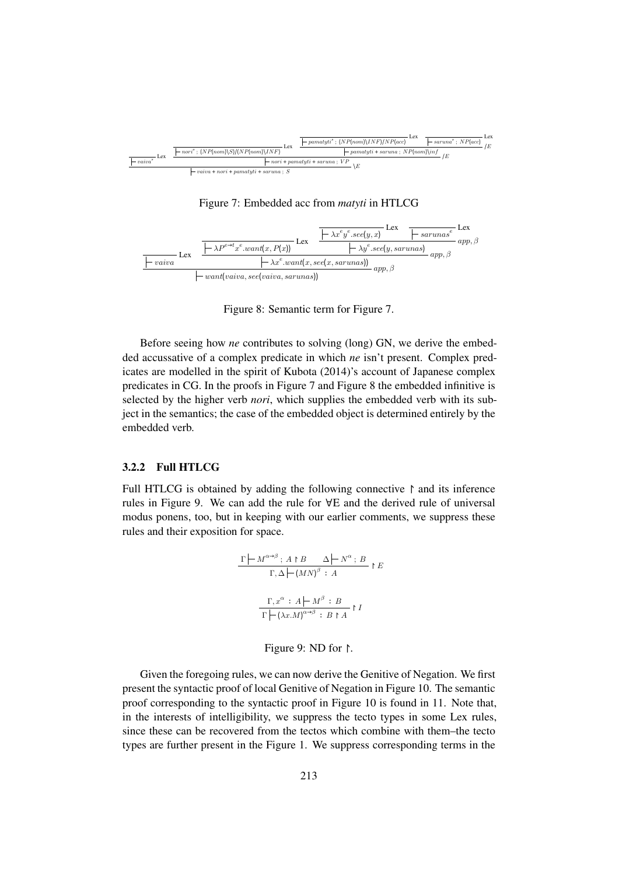

Figure 7: Embedded acc from *matyti* in HTLCG



Figure 8: Semantic term for Figure 7.

Before seeing how *ne* contributes to solving (long) GN, we derive the embedded accussative of a complex predicate in which *ne* isn't present. Complex predicates are modelled in the spirit of Kubota (2014)'s account of Japanese complex predicates in CG. In the proofs in Figure 7 and Figure 8 the embedded infinitive is selected by the higher verb *nori*, which supplies the embedded verb with its subject in the semantics; the case of the embedded object is determined entirely by the embedded verb.

#### 3.2.2 Full HTLCG

Full HTLCG is obtained by adding the following connective  $\uparrow$  and its inference rules in Figure 9. We can add the rule for ∀E and the derived rule of universal modus ponens, too, but in keeping with our earlier comments, we suppress these rules and their exposition for space.

$$
\frac{\Gamma \left| \right. \left| M^{\alpha \rightarrow \beta} \right|; A \upharpoonright B \quad \Delta \left| \right. \left| N^{\alpha} \right|; B}{\Gamma, \Delta \left| \right. \left| (MN)^{\beta} \right|; A} \upharpoonright E
$$
\n
$$
\frac{\Gamma, x^{\alpha} : A \left| \right. \left| M^{\beta} \right|; B}{\Gamma \left| \right. \left| (\lambda x. M)^{\alpha \rightarrow \beta} \right|; B \upharpoonright A} \upharpoonright I
$$

Figure 9: ND for  $\uparrow$ .

Given the foregoing rules, we can now derive the Genitive of Negation. We first present the syntactic proof of local Genitive of Negation in Figure 10. The semantic proof corresponding to the syntactic proof in Figure 10 is found in 11. Note that, in the interests of intelligibility, we suppress the tecto types in some Lex rules, since these can be recovered from the tectos which combine with them–the tecto types are further present in the Figure 1. We suppress corresponding terms in the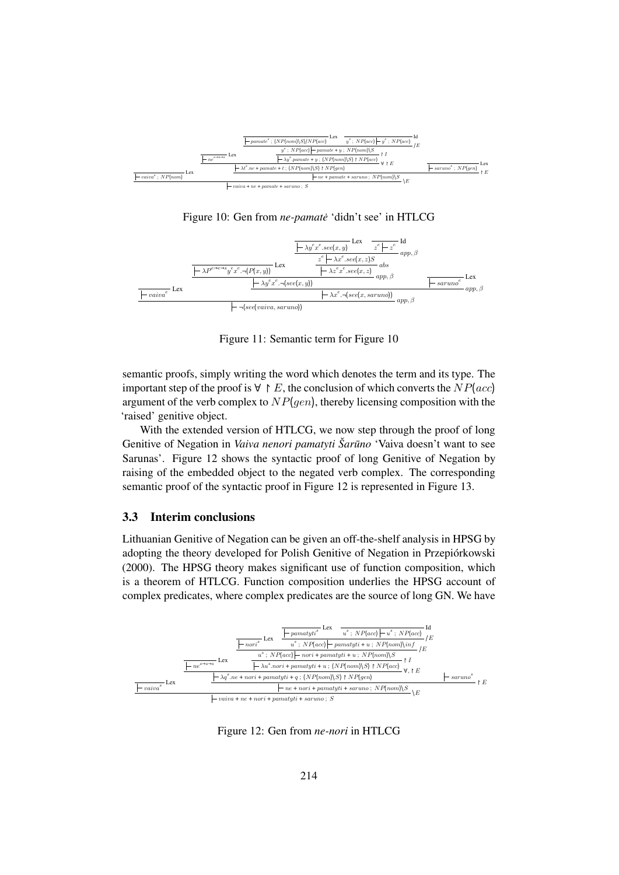

Figure 10: Gen from *ne-pamate˙* 'didn't see' in HTLCG



Figure 11: Semantic term for Figure 10

semantic proofs, simply writing the word which denotes the term and its type. The important step of the proof is  $\forall \restriction E$ , the conclusion of which converts the  $NP(acc)$ argument of the verb complex to  $NP(gen)$ , thereby licensing composition with the 'raised' genitive object.

With the extended version of HTLCG, we now step through the proof of long Genitive of Negation in *Vaiva nenori pamatyti Šarūno* 'Vaiva doesn't want to see Sarunas'. Figure 12 shows the syntactic proof of long Genitive of Negation by raising of the embedded object to the negated verb complex. The corresponding semantic proof of the syntactic proof in Figure 12 is represented in Figure 13.

## 3.3 Interim conclusions

Lithuanian Genitive of Negation can be given an off-the-shelf analysis in HPSG by adopting the theory developed for Polish Genitive of Negation in Przepiórkowski (2000). The HPSG theory makes significant use of function composition, which is a theorem of HTLCG. Function composition underlies the HPSG account of complex predicates, where complex predicates are the source of long GN. We have



Figure 12: Gen from *ne-nori* in HTLCG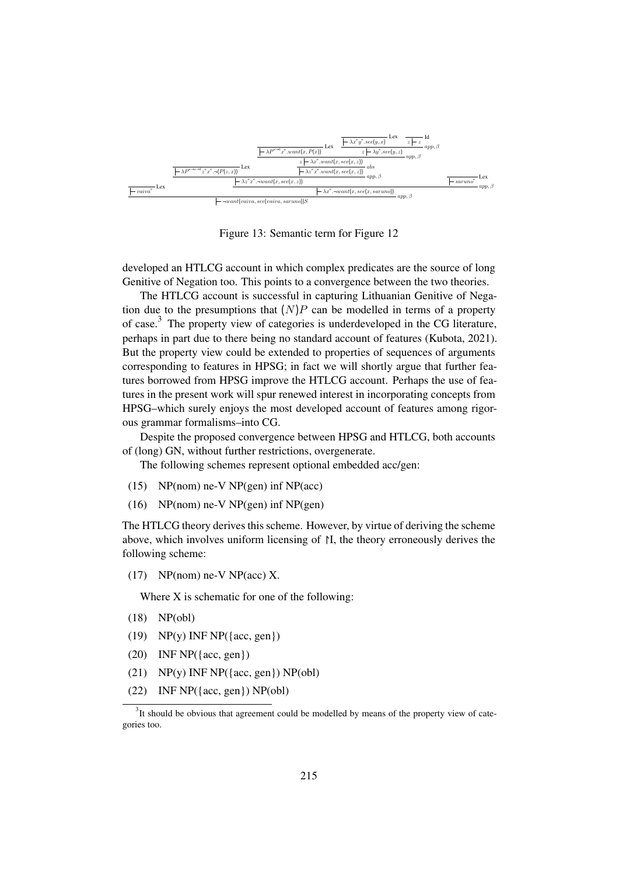

Figure 13: Semantic term for Figure 12

developed an HTLCG account in which complex predicates are the source of long Genitive of Negation too. This points to a convergence between the two theories.

The HTLCG account is successful in capturing Lithuanian Genitive of Negation due to the presumptions that  $(N)P$  can be modelled in terms of a property of case.<sup>3</sup> The property view of categories is underdeveloped in the CG literature, perhaps in part due to there being no standard account of features (Kubota, 2021). But the property view could be extended to properties of sequences of arguments corresponding to features in HPSG; in fact we will shortly argue that further features borrowed from HPSG improve the HTLCG account. Perhaps the use of features in the present work will spur renewed interest in incorporating concepts from HPSG–which surely enjoys the most developed account of features among rigorous grammar formalisms–into CG.

Despite the proposed convergence between HPSG and HTLCG, both accounts of (long) GN, without further restrictions, overgenerate.

The following schemes represent optional embedded acc/gen:

- (15) NP(nom) ne-V NP(gen) inf NP(acc)
- (16) NP(nom) ne-V NP(gen) inf NP(gen)

The HTLCG theory derives this scheme. However, by virtue of deriving the scheme above, which involves uniform licensing of ↾I, the theory erroneously derives the following scheme:

 $(17)$  NP(nom) ne-V NP(acc) X.

Where X is schematic for one of the following:

- (18) NP(obl)
- (19) NP(y) INF NP( $\{acc, gen\}$ )
- $(20)$  INF NP( $\{acc, gen\}$ )
- (21)  $NP(y)$  INF NP({acc, gen}) NP(obl)
- (22) INF NP({acc, gen}) NP(obl)

 $3$ It should be obvious that agreement could be modelled by means of the property view of categories too.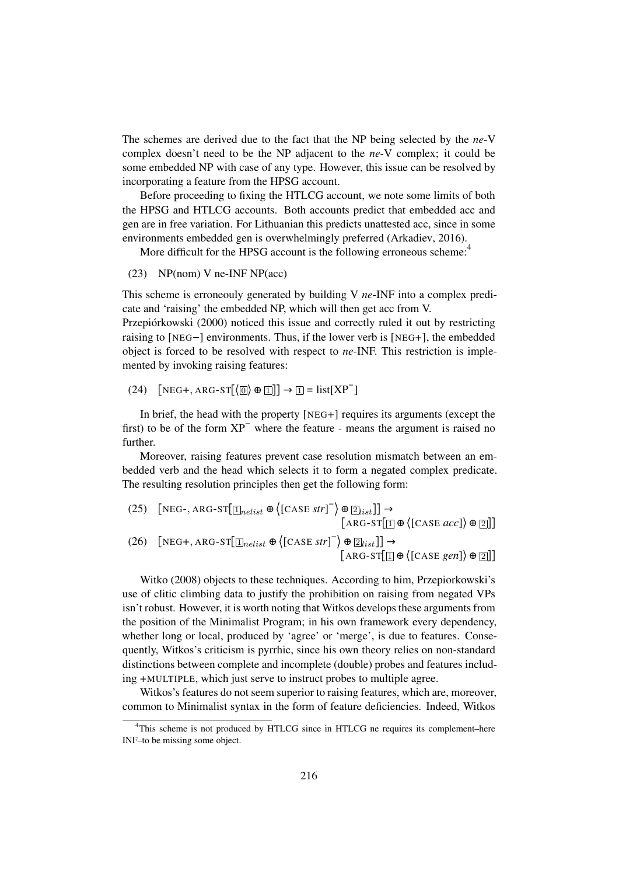The schemes are derived due to the fact that the NP being selected by the *ne*-V complex doesn't need to be the NP adjacent to the *ne*-V complex; it could be some embedded NP with case of any type. However, this issue can be resolved by incorporating a feature from the HPSG account.

Before proceeding to fixing the HTLCG account, we note some limits of both the HPSG and HTLCG accounts. Both accounts predict that embedded acc and gen are in free variation. For Lithuanian this predicts unattested acc, since in some environments embedded gen is overwhelmingly preferred (Arkadiev, 2016).

More difficult for the HPSG account is the following erroneous scheme:<sup>4</sup>

#### (23) NP(nom) V ne-INF NP(acc)

This scheme is erroneouly generated by building V *ne*-INF into a complex predicate and 'raising' the embedded NP, which will then get acc from V.

Przepiórkowski (2000) noticed this issue and correctly ruled it out by restricting raising to [NEG−] environments. Thus, if the lower verb is [NEG+], the embedded object is forced to be resolved with respect to *ne*-INF. This restriction is implemented by invoking raising features:

# $(24) \quad [\text{NEG+, ARG-ST}(\textcircled{\textcircled{\textcirc}} \oplus \textcircled{\textcirc{\textcirc{\textcirc{\textcirc}}}}]) \rightarrow \textcircled{\textcirc{\textcirc{\textcirc{\textcirc{\textcirc}}}}} = \text{list}[XP^{\textcirc}]$

In brief, the head with the property [NEG+] requires its arguments (except the first) to be of the form  $XP^-$  where the feature - means the argument is raised no further.

Moreover, raising features prevent case resolution mismatch between an embedded verb and the head which selects it to form a negated complex predicate. The resulting resolution principles then get the following form:

(25) [NEG-, ARG-ST[
$$
\boxed{1}]_{nelist} \oplus \langle [CASE str]^{\frown} \oplus [\overline{2}]_{list}] \rightarrow
$$
  
\n[ARG-ST[ $\boxed{1} \oplus \langle [CASE acc] \oplus \boxed{2}]$ ]  
\n(26) [NEG+, ARG-ST[ $\boxed{1}]_{nelist} \oplus \langle [CASE str]^{\frown} \oplus [\overline{2}]_{list}] \rightarrow$   
\n[ARG-ST[ $\boxed{1} \oplus \langle [CASE gen] \rangle \oplus [\overline{2}]$ ]  
\n[ARG-ST[ $\boxed{1} \oplus \langle [CASE gen] \rangle \oplus [\overline{2}]$ ]

Witko (2008) objects to these techniques. According to him, Przepiorkowski's use of clitic climbing data to justify the prohibition on raising from negated VPs isn't robust. However, it is worth noting that Witkos develops these arguments from the position of the Minimalist Program; in his own framework every dependency, whether long or local, produced by 'agree' or 'merge', is due to features. Consequently, Witkos's criticism is pyrrhic, since his own theory relies on non-standard distinctions between complete and incomplete (double) probes and features including +MULTIPLE, which just serve to instruct probes to multiple agree.

Witkos's features do not seem superior to raising features, which are, moreover, common to Minimalist syntax in the form of feature deficiencies. Indeed, Witkos

<sup>&</sup>lt;sup>4</sup>This scheme is not produced by HTLCG since in HTLCG ne requires its complement–here INF–to be missing some object.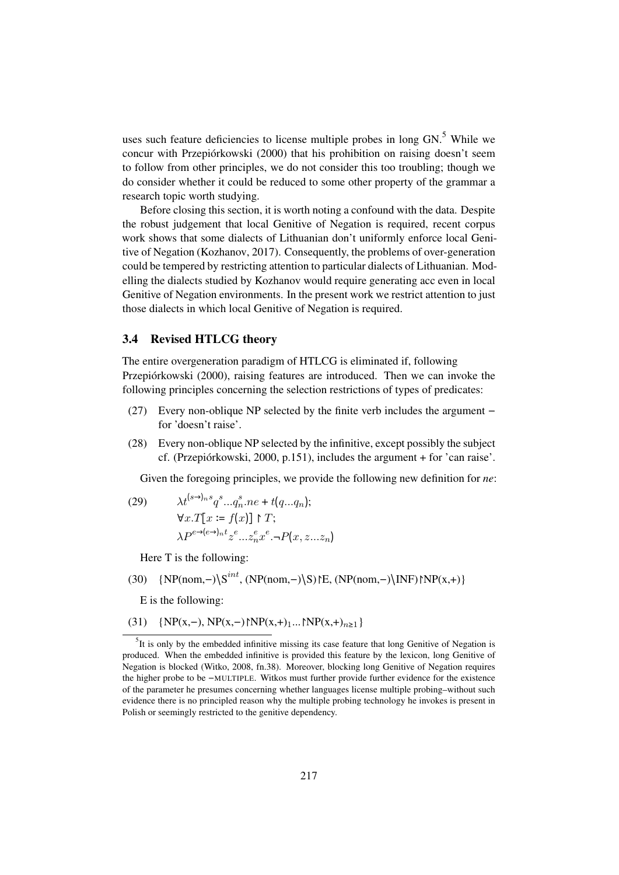uses such feature deficiencies to license multiple probes in long  $GN<sup>5</sup>$ . While we concur with Przepiórkowski (2000) that his prohibition on raising doesn't seem to follow from other principles, we do not consider this too troubling; though we do consider whether it could be reduced to some other property of the grammar a research topic worth studying.

Before closing this section, it is worth noting a confound with the data. Despite the robust judgement that local Genitive of Negation is required, recent corpus work shows that some dialects of Lithuanian don't uniformly enforce local Genitive of Negation (Kozhanov, 2017). Consequently, the problems of over-generation could be tempered by restricting attention to particular dialects of Lithuanian. Modelling the dialects studied by Kozhanov would require generating acc even in local Genitive of Negation environments. In the present work we restrict attention to just those dialects in which local Genitive of Negation is required.

## 3.4 Revised HTLCG theory

The entire overgeneration paradigm of HTLCG is eliminated if, following Przepiórkowski (2000), raising features are introduced. Then we can invoke the following principles concerning the selection restrictions of types of predicates:

- (27) Every non-oblique NP selected by the finite verb includes the argument − for 'doesn't raise'.
- (28) Every non-oblique NP selected by the infinitive, except possibly the subject cf. (Przepiórkowski, 2000, p.151), includes the argument + for 'can raise'.

Given the foregoing principles, we provide the following new definition for *ne*:

(29) 
$$
\lambda t^{(s\rightarrow)_{n}s} q^{s} \dots q_{n}^{s}.ne + t(q \dots q_{n});
$$

$$
\forall x. T[x := f(x)] \uparrow T;
$$

$$
\lambda P^{e\rightarrow(e\rightarrow)_{n}t} z^{e} \dots z_{n}^{e} x^{e} \dots P(x, z \dots z_{n})
$$

Here T is the following:

(30) {NP(nom,-)}
$$
S^{int}
$$
, (NP(nom,-) $S$ ) $\upharpoonright E$ , (NP(nom,-) $\lparrow$ INF) $\upharpoonright NP(x,+)$ }

E is the following:

(31) {NP(x,-), NP(x,-) 
$$
\uparrow
$$
 NP(x,+)<sub>1</sub>...  $\uparrow$  NP(x,+)<sub>*n* \ge 1</sub>}

 ${}^{5}$ It is only by the embedded infinitive missing its case feature that long Genitive of Negation is produced. When the embedded infinitive is provided this feature by the lexicon, long Genitive of Negation is blocked (Witko, 2008, fn.38). Moreover, blocking long Genitive of Negation requires the higher probe to be −MULTIPLE. Witkos must further provide further evidence for the existence of the parameter he presumes concerning whether languages license multiple probing–without such evidence there is no principled reason why the multiple probing technology he invokes is present in Polish or seemingly restricted to the genitive dependency.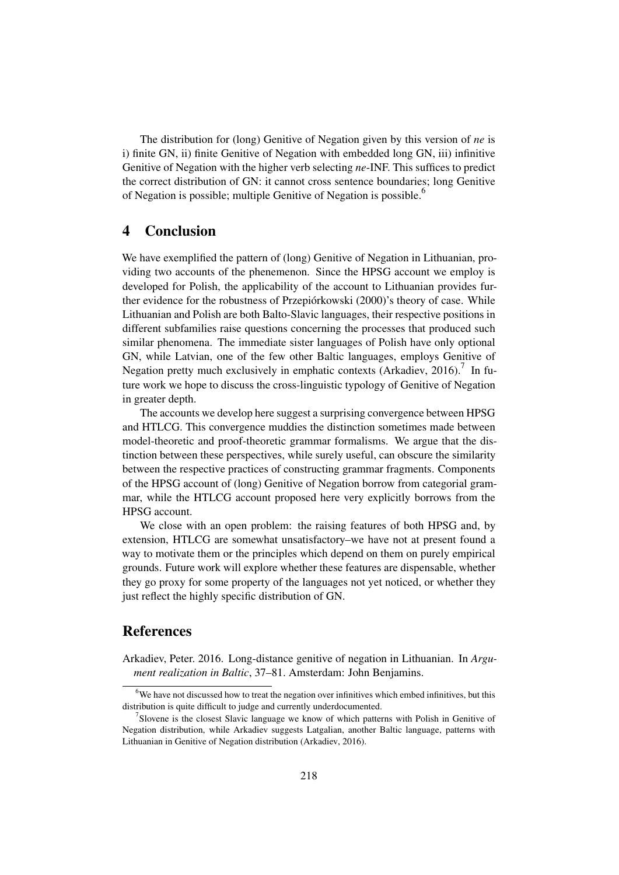The distribution for (long) Genitive of Negation given by this version of *ne* is i) finite GN, ii) finite Genitive of Negation with embedded long GN, iii) infinitive Genitive of Negation with the higher verb selecting *ne*-INF. This suffices to predict the correct distribution of GN: it cannot cross sentence boundaries; long Genitive of Negation is possible; multiple Genitive of Negation is possible.<sup>6</sup>

## 4 Conclusion

We have exemplified the pattern of (long) Genitive of Negation in Lithuanian, providing two accounts of the phenemenon. Since the HPSG account we employ is developed for Polish, the applicability of the account to Lithuanian provides further evidence for the robustness of Przepiórkowski (2000)'s theory of case. While Lithuanian and Polish are both Balto-Slavic languages, their respective positions in different subfamilies raise questions concerning the processes that produced such similar phenomena. The immediate sister languages of Polish have only optional GN, while Latvian, one of the few other Baltic languages, employs Genitive of Negation pretty much exclusively in emphatic contexts (Arkadiev, 2016).<sup>7</sup> In future work we hope to discuss the cross-linguistic typology of Genitive of Negation in greater depth.

The accounts we develop here suggest a surprising convergence between HPSG and HTLCG. This convergence muddies the distinction sometimes made between model-theoretic and proof-theoretic grammar formalisms. We argue that the distinction between these perspectives, while surely useful, can obscure the similarity between the respective practices of constructing grammar fragments. Components of the HPSG account of (long) Genitive of Negation borrow from categorial grammar, while the HTLCG account proposed here very explicitly borrows from the HPSG account.

We close with an open problem: the raising features of both HPSG and, by extension, HTLCG are somewhat unsatisfactory–we have not at present found a way to motivate them or the principles which depend on them on purely empirical grounds. Future work will explore whether these features are dispensable, whether they go proxy for some property of the languages not yet noticed, or whether they just reflect the highly specific distribution of GN.

## References

Arkadiev, Peter. 2016. Long-distance genitive of negation in Lithuanian. In *Argument realization in Baltic*, 37–81. Amsterdam: John Benjamins.

 $6$ We have not discussed how to treat the negation over infinitives which embed infinitives, but this distribution is quite difficult to judge and currently underdocumented.

 $<sup>7</sup>$ Slovene is the closest Slavic language we know of which patterns with Polish in Genitive of</sup> Negation distribution, while Arkadiev suggests Latgalian, another Baltic language, patterns with Lithuanian in Genitive of Negation distribution (Arkadiev, 2016).